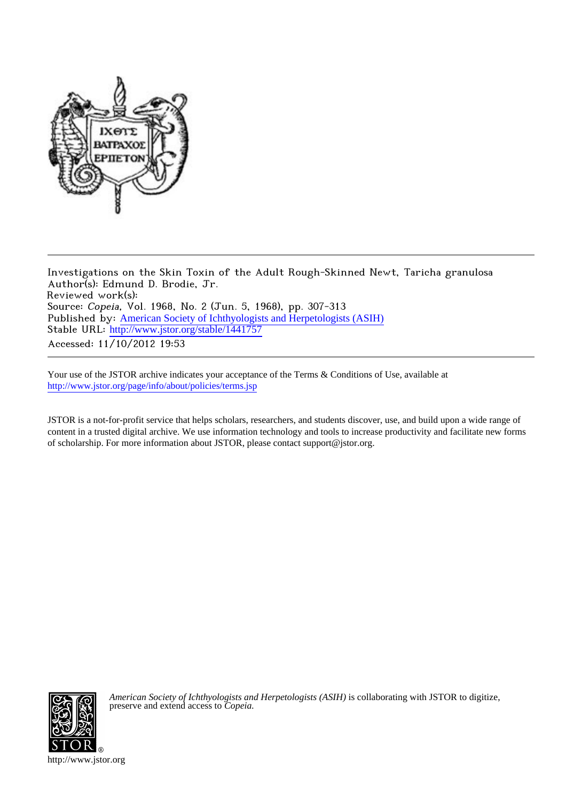

Investigations on the Skin Toxin of the Adult Rough-Skinned Newt, Taricha granulosa Author(s): Edmund D. Brodie, Jr. Reviewed work(s): Source: Copeia, Vol. 1968, No. 2 (Jun. 5, 1968), pp. 307-313 Published by: [American Society of Ichthyologists and Herpetologists \(ASIH\)](http://www.jstor.org/action/showPublisher?publisherCode=asih) Stable URL: [http://www.jstor.org/stable/1441757](http://www.jstor.org/stable/1441757?origin=JSTOR-pdf) Accessed: 11/10/2012 19:53

Your use of the JSTOR archive indicates your acceptance of the Terms & Conditions of Use, available at <http://www.jstor.org/page/info/about/policies/terms.jsp>

JSTOR is a not-for-profit service that helps scholars, researchers, and students discover, use, and build upon a wide range of content in a trusted digital archive. We use information technology and tools to increase productivity and facilitate new forms of scholarship. For more information about JSTOR, please contact support@jstor.org.



*American Society of Ichthyologists and Herpetologists (ASIH)* is collaborating with JSTOR to digitize, preserve and extend access to *Copeia.*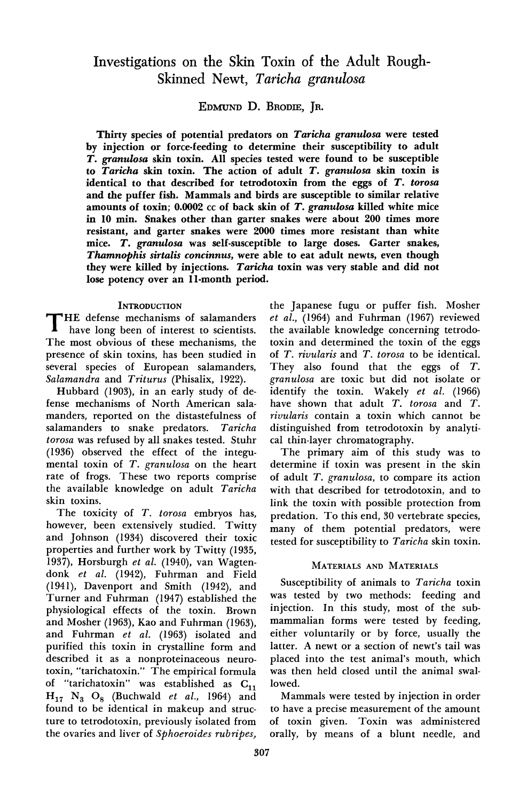# **Investigations on the Skin Toxin of the Adult Rough-Skinned Newt, Taricha granulosa**

**EDMUND D. BRODIE, JR.** 

**Thirty species of potential predators on Taricha granulosa were tested by injection or force-feeding to determine their susceptibility to adult T. granulosa skin toxin. All species tested were found to be susceptible to Taricha skin toxin. The action of adult T. granulosa skin toxin is identical to that described for tetrodotoxin from the eggs of T. torosa and the puffer fish. Mammals and birds are susceptible to similar relative amounts of toxin; 0.0002 cc of back skin of T. granulosa killed white mice in 10 min. Snakes other than garter snakes were about 200 times more resistant, and garter snakes were 2000 times more resistant than white mice. T. granulosa was self-susceptible to large doses. Garter snakes, Thamnophis sirtalis concinnus, were able to eat adult newts, even though they were killed by injections. Taricha toxin was very stable and did not lose potency over an 11-month period.** 

## **INTRODUCTION**

**THE defense mechanisms of salamanders have long been of interest to scientists. The most obvious of these mechanisms, the presence of skin toxins, has been studied in several species of European salamanders, Salamandra and Triturus (Phisalix, 1922).** 

**Hubbard (1903), in an early study of defense mechanisms of North American salamanders, reported on the distastefulness of salamanders to snake predators. Taricha torosa was refused by all snakes tested. Stuhr (1936) observed the effect of the integumental toxin of T. granulosa on the heart rate of frogs. These two reports comprise the available knowledge on adult Taricha skin toxins.** 

**The toxicity of T. torosa embryos has, however, been extensively studied. Twitty and Johnson (1934) discovered their toxic properties and further work by Twitty (1935, 1937), Horsburgh et al. (1940), van Wagtendonk et al. (1942), Fuhrman and Field (1941), Davenport and Smith (1942), and Turner and Fuhrman (1947) established the physiological effects of the toxin. Brown and Mosher (1963), Kao and Fuhrman (1963), and Fuhrman et al. (1963) isolated and purified this toxin in crystalline form and described it as a nonproteinaceous neurotoxin, "tarichatoxin." The empirical formula**  of "tarichatoxin" was established as C<sub>11</sub>  $H_{17}$   $N_3$   $O_8$  (Buchwald *et al.*, 1964) and **found to be identical in makeup and structure to tetrodotoxin, previously isolated from the ovaries and liver of Sphoeroides rubripes,** 

**the Japanese fugu or puffer fish. Mosher et al., (1964) and Fuhrman (1967) reviewed the available knowledge concerning tetrodotoxin and determined the toxin of the eggs of T. rivularis and T. torosa to be identical. They also found that the eggs of T. granulosa are toxic but did not isolate or identify the toxin. Wakely et al. (1966) have shown that adult T. torosa and T. rivularis contain a toxin which cannot be distinguished from tetrodotoxin by analytical thin-layer chromatography.** 

**The primary aim of this study was to determine if toxin was present in the skin of adult T. granulosa, to compare its action with that described for tetrodotoxin, and to link the toxin with possible protection from predation. To this end, 30 vertebrate species, many of them potential predators, were tested for susceptibility to Taricha skin toxin.** 

# **MATERIALS AND MATERIALS**

**Susceptibility of animals to Taricha toxin was tested by two methods: feeding and injection. In this study, most of the submammalian forms were tested by feeding, either voluntarily or by force, usually the latter. A newt or a section of newt's tail was placed into the test animal's mouth, which was then held closed until the animal swallowed.** 

**Mammals were tested by injection in order to have a precise measurement of the amount of toxin given. Toxin was administered orally, by means of a blunt needle, and**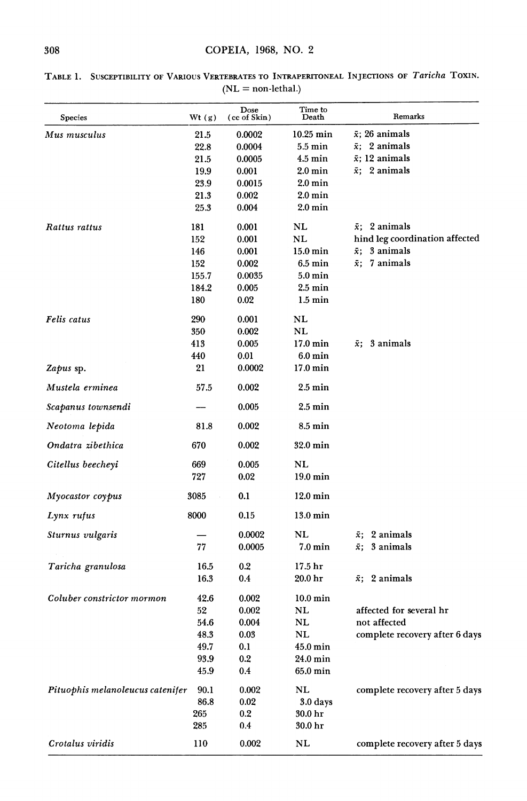| Species                          | Wt (g) | Dose<br>(cc of Skin) | Time to<br>Death   | Remarks                        |
|----------------------------------|--------|----------------------|--------------------|--------------------------------|
| Mus musculus                     | 21.5   | 0.0002               | $10.25$ min        | $\bar{x}$ ; 26 animals         |
|                                  | 22.8   | 0.0004               | $5.5 \text{ min}$  | $\bar{x}$ ; 2 animals          |
|                                  | 21.5   | 0.0005               | $4.5$ min          | $\bar{x}$ ; 12 animals         |
|                                  | 19.9   | 0.001                | $2.0 \text{ min}$  | $\bar{x}$ ; 2 animals          |
|                                  | 23.9   | 0.0015               | $2.0 \text{ min}$  |                                |
|                                  | 21.3   | 0.002                | $2.0 \text{ min}$  |                                |
|                                  | 25.3   | 0.004                | 2.0 min            |                                |
| Rattus rattus                    | 181    | 0.001                | NL                 | $\bar{x}$ : 2 animals          |
|                                  | 152    | 0.001                | NL                 | hind leg coordination affected |
|                                  | 146    | 0.001                | $15.0 \text{ min}$ | $\bar{x}$ ; 3 animals          |
|                                  | 152    | 0.002                | $6.5 \text{ min}$  | $\bar{x}$ ; 7 animals          |
|                                  | 155.7  | 0.0035               | 5.0 min            |                                |
|                                  | 184.2  | 0.005                | $2.5 \text{ min}$  |                                |
|                                  | 180    | 0.02                 | $1.5 \text{ min}$  |                                |
| Felis catus                      | 290    | 0.001                | NL                 |                                |
|                                  | 350    | 0.002                | NL                 |                                |
|                                  | 413    | 0.005                | 17.0 min           | $\bar{x}$ : 3 animals          |
|                                  | 440    | $_{0.01}$            | $6.0 \text{ min}$  |                                |
| Zapus sp.                        | 21     | 0.0002               | $17.0 \text{ min}$ |                                |
| Mustela erminea                  | 57.5   | 0.002                | $2.5 \text{ min}$  |                                |
| Scapanus townsendi               |        | 0.005                | $2.5 \text{ min}$  |                                |
| Neotoma lepida                   | 81.8   | 0.002                | 8.5 min            |                                |
| Ondatra zibethica                | 670    | 0.002                | 32.0 min           |                                |
| Citellus beecheyi                | 669    | 0.005                | NL                 |                                |
|                                  | 727    | 0.02                 | $19.0 \text{ min}$ |                                |
| Myocastor coypus                 | 3085   | 0.1                  | $12.0 \text{ min}$ |                                |
| Lynx rufus                       | 8000   | 0.15                 | $13.0 \text{ min}$ |                                |
| Sturnus vulgaris                 |        | 0.0002               | NL                 | $\bar{x}$ ; 2 animals          |
|                                  | 77     | 0.0005               | 7.0 min            | $\bar{x}$ ; 3 animals          |
| Taricha granulosa                | 16.5   | $0.2\,$              | 17.5 hr            |                                |
|                                  | 16.3   | 0.4                  | 20.0 hr            | $\bar{x}$ ; 2 animals          |
| Coluber constrictor mormon       | 42.6   | 0.002                | $10.0 \text{ min}$ |                                |
|                                  | 52     | 0.002                | NL                 | affected for several hr        |
|                                  | 54.6   | 0.004                | NL                 | not affected                   |
|                                  | 48.3   | 0.03                 | NL                 | complete recovery after 6 days |
|                                  | 49.7   | 0.1                  | 45.0 min           |                                |
|                                  | 93.9   | 0.2                  | 24.0 min           |                                |
|                                  | 45.9   | 0.4                  | 65.0 min           |                                |
| Pituophis melanoleucus catenifer | 90.1   | 0.002                | NL                 | complete recovery after 5 days |
|                                  | 86.8   | 0.02                 | 3.0 days           |                                |
|                                  | 265    | 0.2                  | 30.0 hr            |                                |
|                                  | 285    | 0.4                  | 30.0 hr            |                                |
| Crotalus viridis                 | 110    | 0.002                | NL                 | complete recovery after 5 days |

**TABLE 1. SUSCEPTIBILITY OF VARIOUS VERTEBRATES TO INTRAPERITONEAL INJECTIONS OF Taricha TOXIN.**   $(NL = non-lethal.)$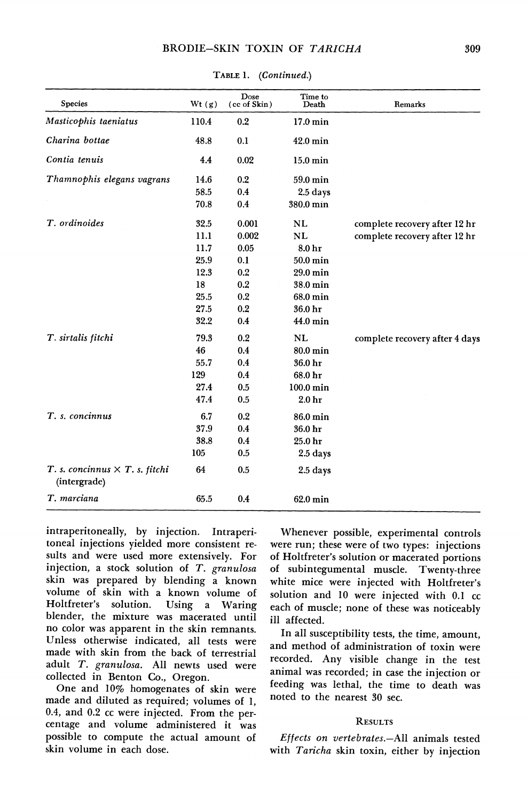| Species                                               | Wt(g) | Dose<br>(cc of Skin) | Time to<br>Death  | Remarks                        |
|-------------------------------------------------------|-------|----------------------|-------------------|--------------------------------|
| Masticophis taeniatus                                 | 110.4 | 0.2                  | 17.0 min          |                                |
| Charina bottae                                        | 48.8  | 0.1                  | 42.0 min          |                                |
| Contia tenuis                                         | 4.4   | 0.02                 | 15.0 min          |                                |
| Thamnophis elegans vagrans                            | 14.6  | 0.2                  | 59.0 min          |                                |
|                                                       | 58.5  | 0.4                  | 2.5 days          |                                |
|                                                       | 70.8  | 0.4                  | 380.0 min         |                                |
| T. ordinoides                                         | 32.5  | 0.001                | NL                | complete recovery after 12 hr  |
|                                                       | 11.1  | 0.002                | <b>NL</b>         | complete recovery after 12 hr  |
|                                                       | 11.7  | 0.05                 | 8.0 hr            |                                |
|                                                       | 25.9  | 0.1                  | 50.0 min          |                                |
|                                                       | 12.3  | 0.2                  | 29.0 min          |                                |
|                                                       | 18    | 0.2                  | 38.0 min          |                                |
|                                                       | 25.5  | 0.2                  | 68.0 min          |                                |
|                                                       | 27.5  | 0.2                  | 36.0 hr           |                                |
|                                                       | 32.2  | 0.4                  | 44.0 min          |                                |
| T. sirtalis fitchi                                    | 79.3  | 0.2                  | <b>NL</b>         | complete recovery after 4 days |
|                                                       | 46    | 0.4                  | 80.0 min          |                                |
|                                                       | 55.7  | 0.4                  | 36.0 hr           |                                |
|                                                       | 129   | 0.4                  | 68.0 hr           |                                |
|                                                       | 27.4  | 0.5                  | $100.0$ min       |                                |
|                                                       | 47.4  | 0.5                  | 2.0 <sub>hr</sub> |                                |
| T. s. concinnus                                       | 6.7   | 0.2                  | 86.0 min          |                                |
|                                                       | 37.9  | 0.4                  | 36.0 hr           |                                |
|                                                       | 38.8  | 0.4                  | 25.0 hr           |                                |
|                                                       | 105   | 0.5                  | 2.5 days          |                                |
| T. s. concinnus $\times$ T. s. fitchi<br>(intergrade) | 64    | 0.5                  | $2.5$ days        |                                |
| T. marciana                                           | 65.5  | 0.4                  | 62.0 min          |                                |

**TABLE 1. (Continued.)** 

**intraperitoneally, by injection. Intraperitoneal injections yielded more consistent results and were used more extensively. For injection, a stock solution of T. granulosa skin was prepared by blending a known volume of skin with a known volume of Holtfreter's solution. Using a Waring blender, the mixture was macerated until no color was apparent in the skin remnants. Unless otherwise indicated, all tests were made with skin from the back of terrestrial adult T. granulosa. All newts used were collected in Benton Co., Oregon.** 

**One and 10% homogenates of skin were made and diluted as required; volumes of 1, 0.4, and 0.2 cc were injected. From the percentage and volume administered it was possible to compute the actual amount of skin volume in each dose.** 

**Whenever possible, experimental controls were run; these were of two types: injections of Holtfreter's solution or macerated portions of subintegumental muscle. Twenty-three white mice were injected with Holtfreter's solution and 10 were injected with 0.1 cc each of muscle; none of these was noticeably ill affected.** 

**In all susceptibility tests, the time, amount, and method of administration of toxin were recorded. Any visible change in the test animal was recorded; in case the injection or feeding was lethal, the time to death was noted to the nearest 30 sec.** 

#### **RESULTS**

**Effects on vertebrates.-All animals tested with Taricha skin toxin, either by injection**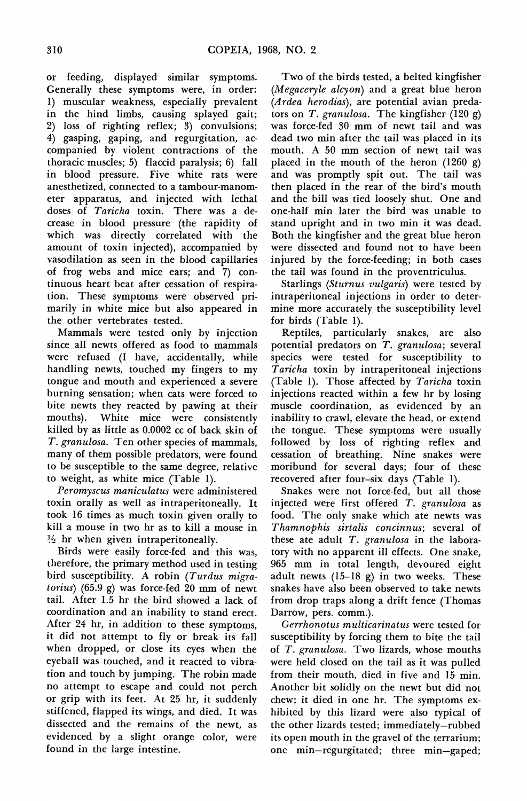**or feeding, displayed similar symptoms. Generally these symptoms were, in order: 1) muscular weakness, especially prevalent in the hind limbs, causing splayed gait; 2) loss of righting reflex; 3) convulsions; 4) gasping, gaping, and regurgitation, accompanied by violent contractions of the thoracic muscles; 5) flaccid paralysis; 6) fall in blood pressure. Five white rats were anesthetized, connected to a tambour-manometer apparatus, and injected with lethal doses of Taricha toxin. There was a decrease in blood pressure (the rapidity of which was directly correlated with the amount of toxin injected), accompanied by vasodilation as seen in the blood capillaries of frog webs and mice ears; and 7) continuous heart beat after cessation of respiration. These symptoms were observed primarily in white mice but also appeared in the other vertebrates tested.** 

**Mammals were tested only by injection since all newts offered as food to mammals were refused (I have, accidentally, while handling newts, touched my fingers to my tongue and mouth and experienced a severe burning sensation; when cats were forced to bite newts they reacted by pawing at their mouths). White mice were consistently killed by as little as 0.0002 cc of back skin of T. granulosa. Ten other species of mammals, many of them possible predators, were found to be susceptible to the same degree, relative to weight, as white mice (Table 1).** 

**Peromyscus maniculatus were administered toxin orally as well as intraperitoneally. It took 16 times as much toxin given orally to kill a mouse in two hr as to kill a mouse in**   $\frac{1}{2}$  hr when given intraperitoneally.

**Birds were easily force-fed and this was, therefore, the primary method used in testing bird susceptibility. A robin (Turdus migratorius) (65.9 g) was force-fed 20 mm of newt tail. After 1.5 hr the bird showed a lack of coordination and an inability to stand erect. After 24 hr, in addition to these symptoms, it did not attempt to fly or break its fall when dropped, or close its eyes when the eyeball was touched, and it reacted to vibration and touch by jumping. The robin made no attempt to escape and could not perch or grip with its feet. At 25 hr, it suddenly stiffened, flapped its wings, and died. It was dissected and the remains of the newt, as evidenced by a slight orange color, were found in the large intestine.** 

**Two of the birds tested, a belted kingfisher (Megaceryle alcyon) and a great blue heron (Ardea herodias), are potential avian predators on T. granulosa. The kingfisher (120 g) was force-fed 30 mm of newt tail and was dead two min after the tail was placed in its mouth. A 50 mm section of newt tail was placed in the mouth of the heron (1260 g) and was promptly spit out. The tail was then placed in the rear of the bird's mouth and the bill was tied loosely shut. One and one-half min later the bird was unable to stand upright and in two min it was dead. Both the kingfisher and the great blue heron were dissected and found not to have been injured by the force-feeding; in both cases the tail was found in the proventriculus.** 

**Starlings (Sturnus vulgaris) were tested by intraperitoneal injections in order to determine more accurately the susceptibility level for birds (Table 1).** 

**Reptiles, particularly snakes, are also potential predators on T. granulosa; several species were tested for susceptibility to Taricha toxin by intraperitoneal injections (Table 1). Those affected by Taricha toxin injections reacted within a few hr by losing muscle coordination, as evidenced by an inability to crawl, elevate the head, or extend the tongue. These symptoms were usually followed by loss of righting reflex and cessation of breathing. Nine snakes were moribund for several days; four of these recovered after four-six days (Table 1).** 

**Snakes were not force-fed, but all those injected were first offered T. granulosa as food. The only snake which ate newts was Thamnophis sirtalis concinnus; several of these ate adult T. granulosa in the laboratory with no apparent ill effects. One snake, 965 mm in total length, devoured eight adult newts (15-18 g) in two weeks. These snakes have also been observed to take newts from drop traps along a drift fence (Thomas Darrow, pers. comm.).** 

**Gerrhonotus multicarinatus were tested for susceptibility by forcing them to bite the tail of T. granulosa. Two lizards, whose mouths were held closed on the tail as it was pulled from their mouth, died in five and 15 min. Another bit solidly on the newt but did not chew; it died in one hr. The symptoms exhibited by this lizard were also typical of the other lizards tested; immediately-rubbed its open mouth in the gravel of the terrarium; one min-regurgitated; three min-gaped;**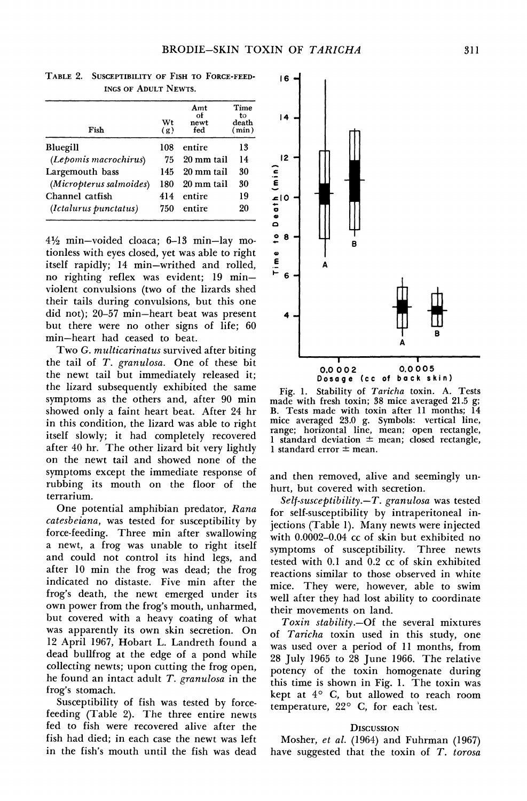| Fish                    | Wt<br>(g) | Amt<br>оf<br>newt<br>fed | Time<br>to<br>death<br>(min) |
|-------------------------|-----------|--------------------------|------------------------------|
| Bluegill                | 108       | entire                   | 13                           |
| (Lepomis macrochirus)   | 75        | 20 mm tail               | 14                           |
| Largemouth bass         | 145       | 20 mm tail               | 30                           |
| (Micropterus salmoides) | 180       | 20 mm tail               | 30                           |
| Channel catfish         | 414       | entire                   | 19                           |
| (Ictalurus punctatus)   | 750       | entire                   | 20                           |

**TABLE 2. SUSCEPTIBILITY OF FISH TO FORCE-FEED-INGS OF ADULT NEWTS.** 

**412 min-voided cloaca; 6-13 min-lay motionless with eyes closed, yet was able to right itself rapidly; 14 min-writhed and rolled, no righting reflex was evident; 19 minviolent convulsions (two of the lizards shed their tails during convulsions, but this one did not); 20-57 min-heart beat was present but there were no other signs of life; 60 min-heart had ceased to beat.** 

**Two G. multicarinatus survived after biting the tail of T. granulosa. One of these bit the newt tail but immediately released it; the lizard subsequently exhibited the same symptoms as the others and, after 90 min showed only a faint heart beat. After 24 hr in this condition, the lizard was able to right itself slowly; it had completely recovered after 40 hr. The other lizard bit very lightly on the newt tail and showed none of the symptoms except the immediate response of rubbing its mouth on the floor of the terrarium.** 

**One potential amphibian predator, Rana catesbeiana, was tested for susceptibility by force-feeding. Three min after swallowing a newt, a frog was unable to right itself and could not control its hind legs, and after 10 min the frog was dead; the frog indicated no distaste. Five min after the frog's death, the newt emerged under its own power from the frog's mouth, unharmed, but covered with a heavy coating of what was apparently its own skin secretion. On 12 April 1967, Hobart L. Landreth found a dead bullfrog at the edge of a pond while collecting newts; upon cutting the frog open, he found an intact adult T. granulosa in the frog's stomach.** 

**Susceptibility of fish was tested by forcefeeding (Table 2). The three entire newts fed to fish were recovered alive after the fish had died; in each case the newt was left in the fish's mouth until the fish was dead** 



**Fig. 1. Stability of Taricha toxin. A. Tests made with fresh toxin; 38 mice averaged 21.5 g; B. Tests made with toxin after 11 months; 14 mice averaged 23.0 g. Symbols: vertical line, range; horizontal line, mean; open rectangle, 1 standard deviation - mean; closed rectangle, 1** standard error  $\pm$  mean.

**and then removed, alive and seemingly unhurt, but covered with secretion.** 

**Self-susceptibility.-T. granulosa was tested for self-susceptibility by intraperitoneal injections (Table 1). Many newts were injected with 0.0002-0.04 cc of skin but exhibited no symptoms of susceptibility. Three newts tested with 0.1 and 0.2 cc of skin exhibited reactions similar to those observed in white mice. They were, however, able to swim well after they had lost ability to coordinate their movements on land.** 

**Toxin stability.-Of the several mixtures of Taricha toxin used in this study, one was used over a period of 11 months, from 28 July 1965 to 28 June 1966. The relative potency of the toxin homogenate during this time is shown in Fig. 1. The toxin was kept at 4? C, but allowed to reach room temperature, 22? C, for each 'test.** 

## **DISCUSSION**

**Mosher, et al. (1964) and Fuhrman (1967) have suggested that the toxin of T. torosa**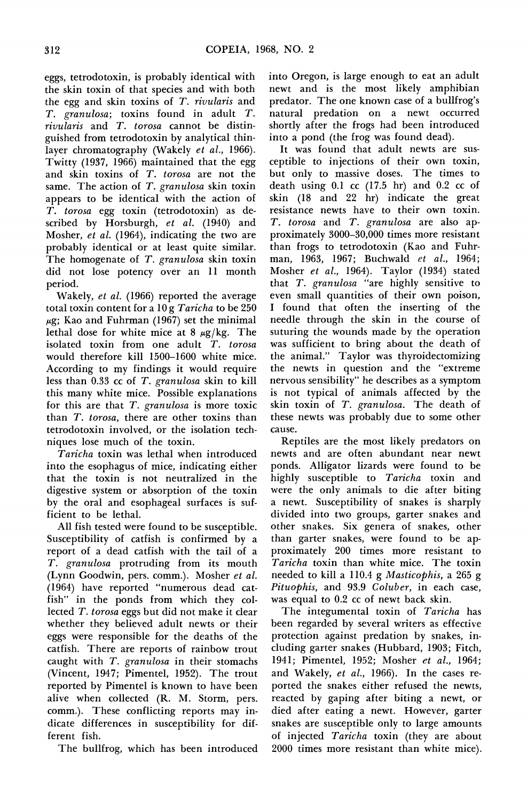**eggs, tetrodotoxin, is probably identical with the skin toxin of that species and with both the egg and skin toxins of T. rivularis and T. granulosa; toxins found in adult T. rivularis and T. torosa cannot be distinguished from tetrodotoxin by analytical thinlayer chromatography (Wakely et al., 1966). Twitty (1937, 1966) maintained that the egg and skin toxins of T. torosa are not the same. The action of T. granulosa skin toxin appears to be identical with the action of T. torosa egg toxin (tetrodotoxin) as described by Horsburgh, et al. (1940) and Mosher, et al. (1964), indicating the two are probably identical or at least quite similar. The homogenate of T. granulosa skin toxin did not lose potency over an 11 month period.** 

**Wakely, et al. (1966) reported the average total toxin content for a 10 g Taricha to be 250 ,ug; Kao and Fuhrman (1967) set the minimal**  lethal dose for white mice at  $8 \mu g/kg$ . The **isolated toxin from one adult T. torosa would therefore kill 1500-1600 white mice. According to my findings it would require less than 0.33 cc of T. granulosa skin to kill this many white mice. Possible explanations for this are that T. granulosa is more toxic than T. torosa, there are other toxins than tetrodotoxin involved, or the isolation techniques lose much of the toxin.** 

**Taricha toxin was lethal when introduced into the esophagus of mice, indicating either that the toxin is not neutralized in the digestive system or absorption of the toxin by the oral and esophageal surfaces is sufficient to be lethal.** 

**All fish tested were found to be susceptible. Susceptibility of catfish is confirmed by a report of a dead catfish with the tail of a T. granulosa protruding from its mouth (Lynn Goodwin, pers. comm.). Mosher et al. (1964) have reported "numerous dead catfish" in the ponds from which they collected T. torosa eggs but did not make it clear whether they believed adult newts or their eggs were responsible for the deaths of the catfish. There are reports of rainbow trout caught with T. granulosa in their stomachs (Vincent, 1947; Pimentel, 1952). The trout reported by Pimentel is known to have been alive when collected (R. M. Storm, pers. comm.). These conflicting reports may indicate differences in susceptibility for different fish.** 

**The bullfrog, which has been introduced** 

**into Oregon, is large enough to eat an adult newt and is the most likely amphibian predator. The one known case of a bullfrog's natural predation on a newt occurred shortly after the frogs had been introduced into a pond (the frog was found dead).** 

**It was found that adult newts are susceptible to injections of their own toxin, but only to massive doses. The times to death using 0.1 cc (17.5 hr) and 0.2 cc of skin (18 and 22 hr) indicate the great resistance newts have to their own toxin. T. torosa and T. granulosa are also approximately 3000-30,000 times more resistant than frogs to tetrodotoxin (Kao and Fuhrman, 1963, 1967; Buchwald et al., 1964; Mosher et al., 1964). Taylor (1934) stated that 7'. granulosa "are highly sensitive to even small quantities of their own poison, I found that often the inserting of the needle through the skin in the course of suturing the wounds made by the operation was sufficient to bring about the death of the animal." Taylor was thyroidectomizing the newts in question and the "extreme nervous sensibility" he describes as a symptom is not typical of animals affected by the skin toxin of T. granulosa. The death of these newts was probably due to some other cause.** 

**Reptiles are the most likely predators on newts and are often abundant near newt ponds. Alligator lizards were found to be highly susceptible to Taricha toxin and were the only animals to die after biting a newt. Susceptibility of snakes is sharply divided into two groups, garter snakes and other snakes. Six genera of snakes, other than garter snakes, were found to be approximately 200 times more resistant to Taricha toxin than white mice. The toxin needed to kill a 110.4 g Masticophis, a 265 g Pituophis, and 93.9 Coluber, in each case, was equal to 0.2 cc of newt back skin.** 

**The integumental toxin of Taricha has been regarded by several writers as effective protection against predation by snakes, including garter snakes (Hubbard, 1903; Fitch, 1941; Pimentel, 1952; Mosher et al., 1964; and Wakely, et al., 1966). In the cases reported the snakes either refused the newts, reacted by gaping after biting a newt, or died after eating a newt. However, garter snakes are susceptible only to large amounts of injected Taricha toxin (they are about 2000 times more resistant than white mice).**